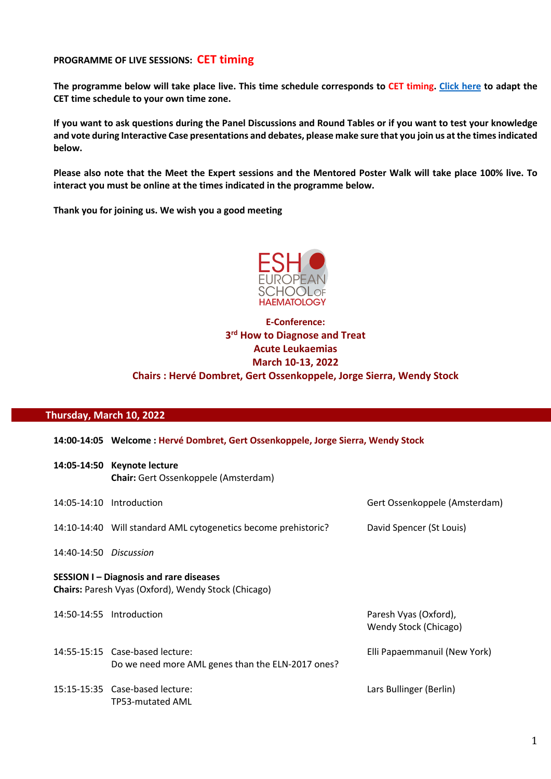#### **PROGRAMME OF LIVE SESSIONS: CET timing**

**The programme below will take place live. This time schedule corresponds to CET timing. Click here to adapt the CET time schedule to your own time zone.**

**If you want to ask questions during the Panel Discussions and Round Tables or if you want to test your knowledge and vote during Interactive Case presentations and debates, please make sure that you join us at the times indicated below.**

**Please also note that the Meet the Expert sessions and the Mentored Poster Walk will take place 100% live. To interact you must be online at the times indicated in the programme below.**

**Thank you for joining us. We wish you a good meeting**



# **E-Conference: 3rd How to Diagnose and Treat Acute Leukaemias March 10-13, 2022 Chairs : Hervé Dombret, Gert Ossenkoppele, Jorge Sierra, Wendy Stock**

#### **Thursday, March 10, 2022**

|                                                                                                            | 14:00-14:05 Welcome : Hervé Dombret, Gert Ossenkoppele, Jorge Sierra, Wendy Stock    |                                                |  |
|------------------------------------------------------------------------------------------------------------|--------------------------------------------------------------------------------------|------------------------------------------------|--|
| 14:05-14:50                                                                                                | <b>Keynote lecture</b><br><b>Chair:</b> Gert Ossenkoppele (Amsterdam)                |                                                |  |
|                                                                                                            | 14:05-14:10 Introduction                                                             | Gert Ossenkoppele (Amsterdam)                  |  |
|                                                                                                            | 14:10-14:40 Will standard AML cytogenetics become prehistoric?                       | David Spencer (St Louis)                       |  |
| 14:40-14:50 Discussion                                                                                     |                                                                                      |                                                |  |
| <b>SESSION I-Diagnosis and rare diseases</b><br><b>Chairs:</b> Paresh Vyas (Oxford), Wendy Stock (Chicago) |                                                                                      |                                                |  |
|                                                                                                            | 14:50-14:55 Introduction                                                             | Paresh Vyas (Oxford),<br>Wendy Stock (Chicago) |  |
|                                                                                                            | 14:55-15:15 Case-based lecture:<br>Do we need more AML genes than the ELN-2017 ones? | Elli Papaemmanuil (New York)                   |  |
|                                                                                                            | 15:15-15:35 Case-based lecture:<br>TP53-mutated AML                                  | Lars Bullinger (Berlin)                        |  |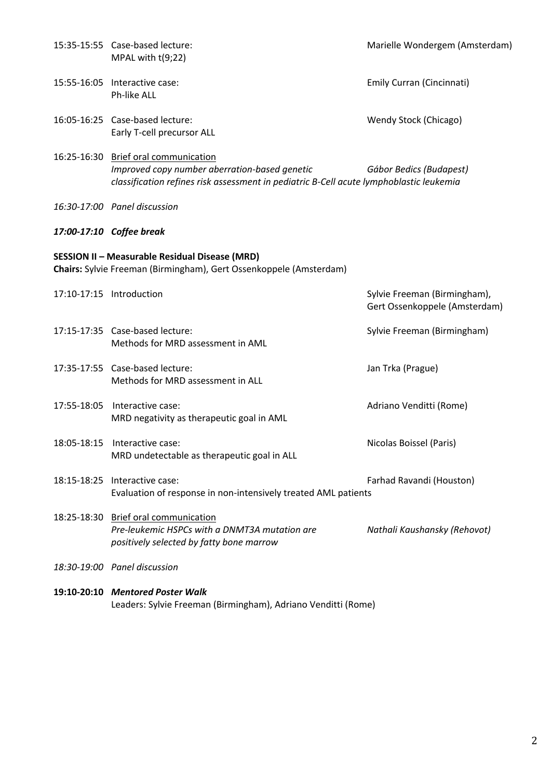|             | 15:35-15:55 Case-based lecture:<br>MPAL with $t(9;22)$                                                                                                                           | Marielle Wondergem (Amsterdam)                                |
|-------------|----------------------------------------------------------------------------------------------------------------------------------------------------------------------------------|---------------------------------------------------------------|
|             | 15:55-16:05 Interactive case:<br>Ph-like ALL                                                                                                                                     | Emily Curran (Cincinnati)                                     |
|             | 16:05-16:25 Case-based lecture:<br>Early T-cell precursor ALL                                                                                                                    | Wendy Stock (Chicago)                                         |
|             | 16:25-16:30 Brief oral communication<br>Improved copy number aberration-based genetic<br>classification refines risk assessment in pediatric B-Cell acute lymphoblastic leukemia | Gábor Bedics (Budapest)                                       |
|             | 16:30-17:00 Panel discussion                                                                                                                                                     |                                                               |
|             | 17:00-17:10 Coffee break                                                                                                                                                         |                                                               |
|             | <b>SESSION II - Measurable Residual Disease (MRD)</b><br>Chairs: Sylvie Freeman (Birmingham), Gert Ossenkoppele (Amsterdam)                                                      |                                                               |
|             | 17:10-17:15 Introduction                                                                                                                                                         | Sylvie Freeman (Birmingham),<br>Gert Ossenkoppele (Amsterdam) |
|             | 17:15-17:35 Case-based lecture:<br>Methods for MRD assessment in AML                                                                                                             | Sylvie Freeman (Birmingham)                                   |
|             | 17:35-17:55 Case-based lecture:<br>Methods for MRD assessment in ALL                                                                                                             | Jan Trka (Prague)                                             |
| 17:55-18:05 | Interactive case:<br>MRD negativity as therapeutic goal in AML                                                                                                                   | Adriano Venditti (Rome)                                       |
| 18:05-18:15 | Interactive case:<br>MRD undetectable as therapeutic goal in ALL                                                                                                                 | Nicolas Boissel (Paris)                                       |
| 18:15-18:25 | Interactive case:<br>Evaluation of response in non-intensively treated AML patients                                                                                              | Farhad Ravandi (Houston)                                      |
|             | 18:25-18:30 Brief oral communication<br>Pre-leukemic HSPCs with a DNMT3A mutation are<br>positively selected by fatty bone marrow                                                | Nathali Kaushansky (Rehovot)                                  |
|             | 18:30-19:00 Panel discussion                                                                                                                                                     |                                                               |
|             | 19:10-20:10 Mentored Poster Walk                                                                                                                                                 |                                                               |

Leaders: Sylvie Freeman (Birmingham), Adriano Venditti (Rome)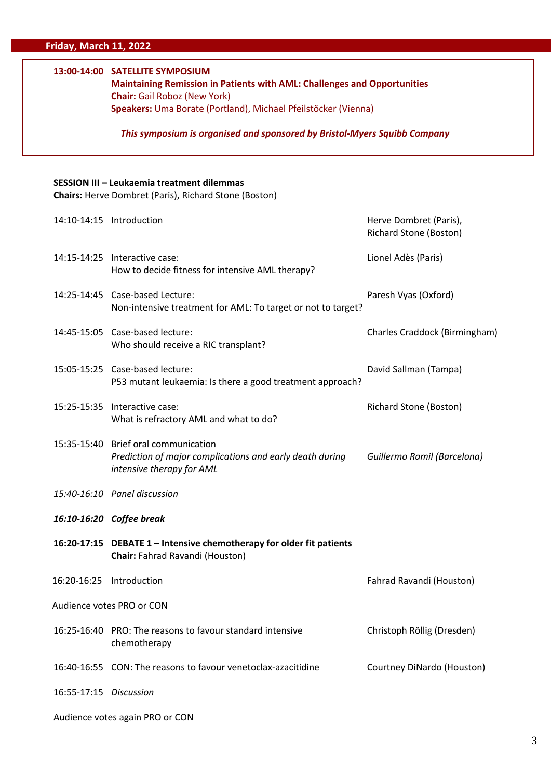## **13:00-14:00 SATELLITE SYMPOSIUM**

**Maintaining Remission in Patients with AML: Challenges and Opportunities Chair:** Gail Roboz (New York) **Speakers:** Uma Borate (Portland), Michael Pfeilstöcker (Vienna)

*This symposium is organised and sponsored by Bristol-Myers Squibb Company*

#### **SESSION III – Leukaemia treatment dilemmas**

**Chairs:** Herve Dombret (Paris), Richard Stone (Boston)

|                           | 14:10-14:15 Introduction                                                                                                      | Herve Dombret (Paris),<br>Richard Stone (Boston) |  |
|---------------------------|-------------------------------------------------------------------------------------------------------------------------------|--------------------------------------------------|--|
|                           | 14:15-14:25 Interactive case:<br>How to decide fitness for intensive AML therapy?                                             | Lionel Adès (Paris)                              |  |
|                           | 14:25-14:45 Case-based Lecture:<br>Non-intensive treatment for AML: To target or not to target?                               | Paresh Vyas (Oxford)                             |  |
|                           | 14:45-15:05 Case-based lecture:<br>Who should receive a RIC transplant?                                                       | Charles Craddock (Birmingham)                    |  |
|                           | 15:05-15:25 Case-based lecture:<br>P53 mutant leukaemia: Is there a good treatment approach?                                  | David Sallman (Tampa)                            |  |
|                           | 15:25-15:35 Interactive case:<br>What is refractory AML and what to do?                                                       | <b>Richard Stone (Boston)</b>                    |  |
|                           | 15:35-15:40 Brief oral communication<br>Prediction of major complications and early death during<br>intensive therapy for AML | Guillermo Ramil (Barcelona)                      |  |
|                           | 15:40-16:10 Panel discussion                                                                                                  |                                                  |  |
|                           | 16:10-16:20 Coffee break                                                                                                      |                                                  |  |
|                           | 16:20-17:15 DEBATE 1 - Intensive chemotherapy for older fit patients<br>Chair: Fahrad Ravandi (Houston)                       |                                                  |  |
| 16:20-16:25 Introduction  |                                                                                                                               | Fahrad Ravandi (Houston)                         |  |
| Audience votes PRO or CON |                                                                                                                               |                                                  |  |
|                           | 16:25-16:40 PRO: The reasons to favour standard intensive<br>chemotherapy                                                     | Christoph Röllig (Dresden)                       |  |
|                           | 16:40-16:55 CON: The reasons to favour venetoclax-azacitidine                                                                 | Courtney DiNardo (Houston)                       |  |
| 16:55-17:15 Discussion    |                                                                                                                               |                                                  |  |
|                           |                                                                                                                               |                                                  |  |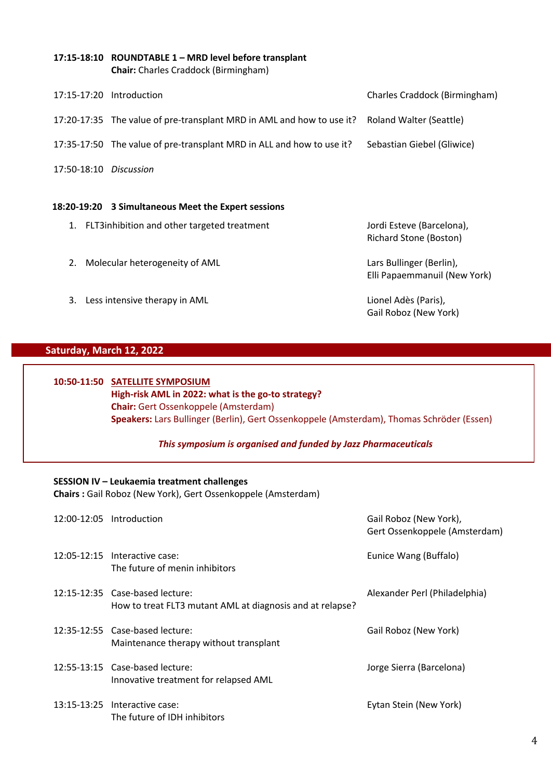#### **17:15-18:10 ROUNDTABLE 1 – MRD level before transplant Chair:** Charles Craddock (Birmingham)

|                        | 17:15-17:20 Introduction                                                                      | Charles Craddock (Birmingham) |
|------------------------|-----------------------------------------------------------------------------------------------|-------------------------------|
|                        | 17:20-17:35 The value of pre-transplant MRD in AML and how to use it? Roland Walter (Seattle) |                               |
|                        | 17:35-17:50 The value of pre-transplant MRD in ALL and how to use it?                         | Sebastian Giebel (Gliwice)    |
| 17:50-18:10 Discussion |                                                                                               |                               |

#### **18:20-19:20 3 Simultaneous Meet the Expert sessions**

- 1. FLT3inhibition and other targeted treatment Jordi Esteve (Barcelona),
- 2. Molecular heterogeneity of AML Lars Bullinger (Berlin),

Richard Stone (Boston)

Elli Papaemmanuil (New York)

3. Less intensive therapy in AML Lionel Adès (Paris),

Gail Roboz (New York)

## **Saturday, March 12, 2022**

## **10:50-11:50 SATELLITE SYMPOSIUM High-risk AML in 2022: what is the go-to strategy? Chair:** Gert Ossenkoppele (Amsterdam) **Speakers:** Lars Bullinger (Berlin), Gert Ossenkoppele (Amsterdam), Thomas Schröder (Essen)

### *This symposium is organised and funded by Jazz Pharmaceuticals*

### **SESSION IV – Leukaemia treatment challenges**

**Chairs :** Gail Roboz (New York), Gert Ossenkoppele (Amsterdam)

| 12:00-12:05 Introduction                                                                     | Gail Roboz (New York),<br>Gert Ossenkoppele (Amsterdam) |
|----------------------------------------------------------------------------------------------|---------------------------------------------------------|
| 12:05-12:15 Interactive case:<br>The future of menin inhibitors                              | Eunice Wang (Buffalo)                                   |
| 12:15-12:35 Case-based lecture:<br>How to treat FLT3 mutant AML at diagnosis and at relapse? | Alexander Perl (Philadelphia)                           |
| 12:35-12:55 Case-based lecture:<br>Maintenance therapy without transplant                    | Gail Roboz (New York)                                   |
| 12:55-13:15 Case-based lecture:<br>Innovative treatment for relapsed AML                     | Jorge Sierra (Barcelona)                                |
| 13:15-13:25 Interactive case:<br>The future of IDH inhibitors                                | Eytan Stein (New York)                                  |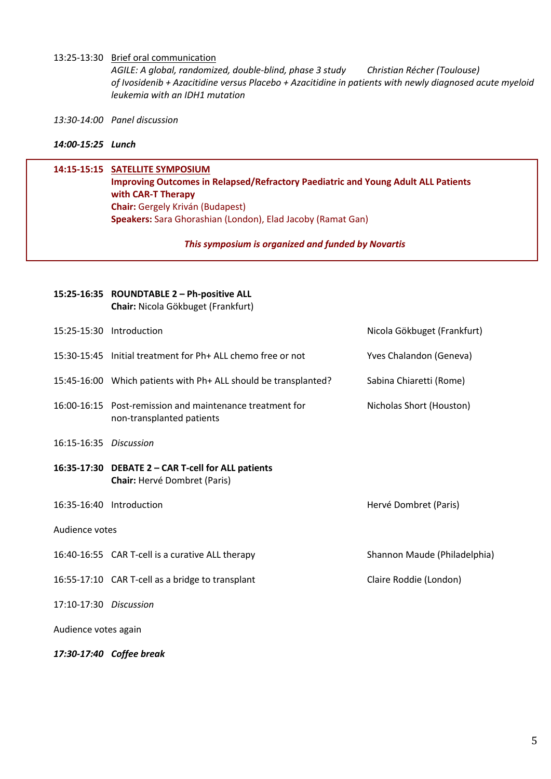#### 13:25-13:30 Brief oral communication

*AGILE: A global, randomized, double-blind, phase 3 study Christian Récher (Toulouse) of Ivosidenib + Azacitidine versus Placebo + Azacitidine in patients with newly diagnosed acute myeloid leukemia with an IDH1 mutation*

*13:30-14:00 Panel discussion* 

#### *14:00-15:25 Lunch*

### **14:15-15:15 SATELLITE SYMPOSIUM Improving Outcomes in Relapsed/Refractory Paediatric and Young Adult ALL Patients with CAR-T Therapy Chair:** Gergely Kriván (Budapest)

**Speakers:** Sara Ghorashian (London), Elad Jacoby (Ramat Gan)

#### *This symposium is organized and funded by Novartis*

|                      |                        | 15:25-16:35 ROUNDTABLE 2 - Ph-positive ALL<br>Chair: Nicola Gökbuget (Frankfurt)          |                              |
|----------------------|------------------------|-------------------------------------------------------------------------------------------|------------------------------|
|                      | 15:25-15:30            | Introduction                                                                              | Nicola Gökbuget (Frankfurt)  |
|                      |                        | 15:30-15:45 Initial treatment for Ph+ ALL chemo free or not                               | Yves Chalandon (Geneva)      |
|                      |                        | 15:45-16:00 Which patients with Ph+ ALL should be transplanted?                           | Sabina Chiaretti (Rome)      |
|                      | 16:00-16:15            | Post-remission and maintenance treatment for<br>non-transplanted patients                 | Nicholas Short (Houston)     |
|                      | 16:15-16:35 Discussion |                                                                                           |                              |
|                      |                        | 16:35-17:30 DEBATE 2 - CAR T-cell for ALL patients<br><b>Chair: Hervé Dombret (Paris)</b> |                              |
|                      |                        | 16:35-16:40 Introduction                                                                  | Hervé Dombret (Paris)        |
| Audience votes       |                        |                                                                                           |                              |
|                      |                        | 16:40-16:55 CAR T-cell is a curative ALL therapy                                          | Shannon Maude (Philadelphia) |
|                      |                        | 16:55-17:10 CAR T-cell as a bridge to transplant                                          | Claire Roddie (London)       |
|                      | 17:10-17:30 Discussion |                                                                                           |                              |
| Audience votes again |                        |                                                                                           |                              |
|                      |                        | 17:30-17:40 Coffee break                                                                  |                              |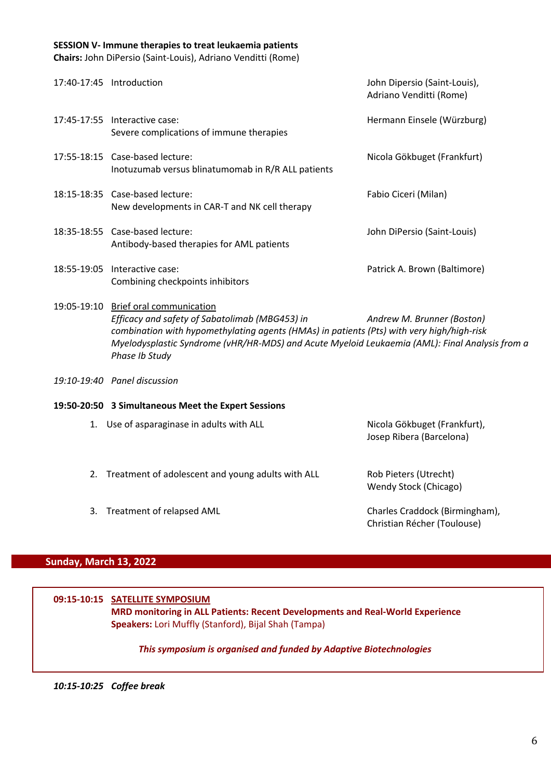#### **SESSION V- Immune therapies to treat leukaemia patients**

**Chairs:** John DiPersio (Saint-Louis), Adriano Venditti (Rome)

| 17:40-17:45 Introduction |                                                                                                                                                                                                                                                                                                                                       | John Dipersio (Saint-Louis),<br>Adriano Venditti (Rome) |
|--------------------------|---------------------------------------------------------------------------------------------------------------------------------------------------------------------------------------------------------------------------------------------------------------------------------------------------------------------------------------|---------------------------------------------------------|
|                          | 17:45-17:55 Interactive case:<br>Severe complications of immune therapies                                                                                                                                                                                                                                                             | Hermann Einsele (Würzburg)                              |
|                          | 17:55-18:15 Case-based lecture:<br>Inotuzumab versus blinatumomab in R/R ALL patients                                                                                                                                                                                                                                                 | Nicola Gökbuget (Frankfurt)                             |
|                          | 18:15-18:35 Case-based lecture:<br>New developments in CAR-T and NK cell therapy                                                                                                                                                                                                                                                      | Fabio Ciceri (Milan)                                    |
|                          | 18:35-18:55 Case-based lecture:<br>Antibody-based therapies for AML patients                                                                                                                                                                                                                                                          | John DiPersio (Saint-Louis)                             |
|                          | 18:55-19:05 Interactive case:<br>Combining checkpoints inhibitors                                                                                                                                                                                                                                                                     | Patrick A. Brown (Baltimore)                            |
|                          | 19:05-19:10 Brief oral communication<br>Efficacy and safety of Sabatolimab (MBG453) in<br>Andrew M. Brunner (Boston)<br>combination with hypomethylating agents (HMAs) in patients (Pts) with very high/high-risk<br>Myelodysplastic Syndrome (vHR/HR-MDS) and Acute Myeloid Leukaemia (AML): Final Analysis from a<br>Phase Ib Study |                                                         |
|                          | 19:10-19:40 Panel discussion                                                                                                                                                                                                                                                                                                          |                                                         |
|                          | 19:50-20:50 3 Simultaneous Meet the Expert Sessions                                                                                                                                                                                                                                                                                   |                                                         |

| 1. Use of asparaginase in adults with ALL            | Nicola Gökbuget (Frankfurt),<br>Josep Ribera (Barcelona)      |
|------------------------------------------------------|---------------------------------------------------------------|
| 2. Treatment of adolescent and young adults with ALL | Rob Pieters (Utrecht)<br>Wendy Stock (Chicago)                |
| 3. Treatment of relapsed AML                         | Charles Craddock (Birmingham),<br>Christian Récher (Toulouse) |

### **Sunday, March 13, 2022**

## **09:15-10:15 SATELLITE SYMPOSIUM MRD monitoring in ALL Patients: Recent Developments and Real-World Experience Speakers:** Lori Muffly (Stanford), Bijal Shah (Tampa)

### *This symposium is organised and funded by Adaptive Biotechnologies*

*10:15-10:25 Coffee break*